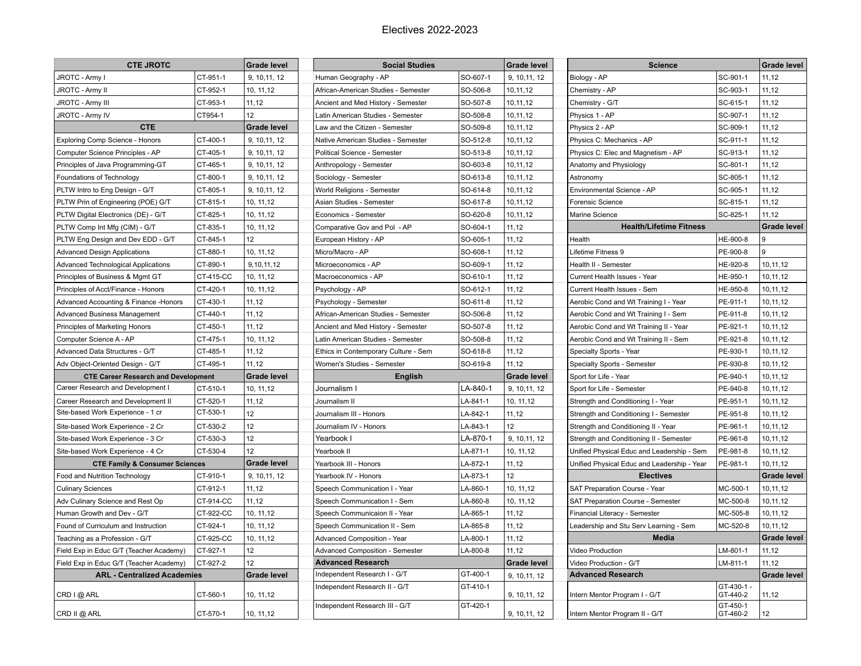## Electives 2022-2023

| <b>CTE JROTC</b>                                    |           | <b>Grade level</b> | <b>Social Studies</b>                  |          |                    | <b>Science</b>                              |                       | <b>Grade level</b> |
|-----------------------------------------------------|-----------|--------------------|----------------------------------------|----------|--------------------|---------------------------------------------|-----------------------|--------------------|
| JROTC - Army I                                      | CT-951-1  | 9, 10, 11, 12      | Human Geography - AP                   | SO-607-1 | 9, 10, 11, 12      | Biology - AP                                | SC-901-1              | 11,12              |
| JROTC - Army II                                     | CT-952-1  | 10, 11, 12         | African-American Studies - Semester    | SO-506-8 | 10,11,12           | Chemistry - AP                              | SC-903-1              | 11,12              |
| JROTC - Army III                                    | CT-953-1  | 11, 12             | Ancient and Med History - Semester     | SO-507-8 | 10,11,12           | Chemistry - G/T                             | SC-615-1              | 11,12              |
| JROTC - Army IV                                     | CT954-1   | 12                 | Latin American Studies - Semester      | SO-508-8 | 10,11,12           | Physics 1 - AP                              | SC-907-1              | 11,12              |
| <b>CTE</b>                                          |           | Grade level        | Law and the Citizen - Semester         | SO-509-8 | 10,11,12           | Physics 2 - AP                              | SC-909-1              | 11,12              |
| Exploring Comp Science - Honors                     | CT-400-1  | 9, 10, 11, 12      | Native American Studies - Semester     | SO-512-8 | 10,11,12           | Physics C: Mechanics - AP                   | SC-911-1              | 11,12              |
| Computer Science Principles - AP                    | CT-405-1  | 9, 10, 11, 12      | <b>Political Science - Semester</b>    | SO-513-8 | 10,11,12           | Physics C: Elec and Magnetism - AP          | SC-913-1              | 11,12              |
| Principles of Java Programming-GT                   | CT-465-1  | 9, 10, 11, 12      | Anthropology - Semester                | SO-603-8 | 10,11,12           | Anatomy and Physiology                      | SC-801-1              | 11,12              |
| Foundations of Technology                           | CT-800-1  | 9, 10, 11, 12      | Sociology - Semester                   | SO-613-8 | 10,11,12           | Astronomy                                   | SC-805-1              | 11,12              |
| PLTW Intro to Eng Design - G/T                      | CT-805-1  | 9, 10, 11, 12      | World Religions - Semester             | SO-614-8 | 10,11,12           | Environmental Science - AP                  | SC-905-1              | 11,12              |
| PLTW Prin of Engineering (POE) G/T                  | CT-815-1  | 10, 11, 12         | Asian Studies - Semester               | SO-617-8 | 10, 11, 12         | Forensic Science                            | SC-815-1              | 11,12              |
| PLTW Digital Electronics (DE) - G/T                 | CT-825-1  | 10, 11, 12         | Economics - Semester                   | SO-620-8 | 10,11,12           | Marine Science                              | SC-825-1              | 11,12              |
| PLTW Comp Int Mfg (CIM) - G/T                       | CT-835-1  | 10, 11, 12         | Comparative Gov and Pol - AP           | SO-604-1 | 11, 12             | <b>Health/Lifetime Fitness</b>              |                       | <b>Grade level</b> |
| PLTW Eng Design and Dev EDD - G/T                   | CT-845-1  | 12                 | European History - AP                  | SO-605-1 | 11, 12             | Health                                      | HE-900-8              | و ا                |
| <b>Advanced Design Applications</b>                 | CT-880-1  | 10, 11, 12         | Micro/Macro - AP                       | SO-608-1 | 11, 12             | Lifetime Fitness 9                          | PE-900-8              | 9                  |
| Advanced Technological Applications                 | CT-890-1  | 9, 10, 11, 12      | Microeconomics - AP                    | SO-609-1 | 11,12              | Health II - Semester                        | HE-920-8              | 10,11,12           |
| Principles of Business & Mgmt GT                    | CT-415-CC | 10, 11, 12         | Macroeconomics - AP                    | SO-610-1 | 11, 12             | Current Health Issues - Year                | HE-950-1              | 10,11,12           |
| Principles of Acct/Finance - Honors                 | CT-420-1  | 10, 11, 12         | Psychology - AP                        | SO-612-1 | 11,12              | Current Health Issues - Sem                 | HE-950-8              | 10,11,12           |
| Advanced Accounting & Finance -Honors               | CT-430-1  | 11,12              | Psychology - Semester                  | SO-611-8 | 11,12              | Aerobic Cond and Wt Training I - Year       | PE-911-1              | 10,11,12           |
| <b>Advanced Business Management</b>                 | CT-440-1  | 11,12              | African-American Studies - Semester    | SO-506-8 | 11,12              | Aerobic Cond and Wt Training I - Sem        | PE-911-8              | 10,11,12           |
| Principles of Marketing Honors                      | CT-450-1  | 11, 12             | Ancient and Med History - Semester     | SO-507-8 | 11,12              | Aerobic Cond and Wt Training II - Year      | PE-921-1              | 10,11,12           |
| Computer Science A - AP                             | CT-475-1  | 10, 11, 12         | Latin American Studies - Semester      | SO-508-8 | 11,12              | Aerobic Cond and Wt Training II - Sem       | PE-921-8              | 10,11,12           |
| Advanced Data Structures - G/T                      | CT-485-1  | 11,12              | Ethics in Contemporary Culture - Sem   | SO-618-8 | 11,12              | Specialty Sports - Year                     | PE-930-1              | 10,11,12           |
| Adv Object-Oriented Design - G/T                    | CT-495-1  | 11,12              | Women's Studies - Semester             | SO-619-8 | 11,12              | Specialty Sports - Semester                 | PE-930-8              | 10,11,12           |
| <b>CTE Career Research and Development</b>          |           | Grade level        | English                                |          | <b>Grade level</b> | PE-940-1<br>Sport for Life - Year           |                       | 10,11,12           |
| Career Research and Development I                   | CT-510-1  | 10, 11, 12         | Journalism I                           | LA-840-1 | 9, 10, 11, 12      | Sport for Life - Semester                   | PE-940-8              | 10,11,12           |
| Career Research and Development II                  | CT-520-1  | 11, 12             | Journalism II                          | LA-841-1 | 10, 11,12          | Strength and Conditioning I - Year          | PE-951-1              | 10,11,12           |
| Site-based Work Experience - 1 cr                   | CT-530-1  | 12                 | Journalism III - Honors                | LA-842-1 | 11,12              | Strength and Conditioning I - Semester      | PE-951-8              | 10,11,12           |
| Site-based Work Experience - 2 Cr                   | CT-530-2  | 12                 | Journalism IV - Honors                 | LA-843-1 | 12                 | Strength and Conditioning II - Year         | PE-961-1              | 10,11,12           |
| Site-based Work Experience - 3 Cr                   | CT-530-3  | 12                 | Yearbook l                             | LA-870-1 | 9, 10, 11, 12      | Strength and Conditioning II - Semester     | PE-961-8              | 10,11,12           |
| Site-based Work Experience - 4 Cr                   | CT-530-4  | 12                 | Yearbook II                            | LA-871-1 | 10, 11,12          | Unified Physical Educ and Leadership - Sem  | PE-981-8              | 10,11,12           |
| <b>CTE Family &amp; Consumer Sciences</b>           |           | <b>Grade level</b> | Yearbook III - Honors                  | LA-872-1 | 11,12              | Unified Physical Educ and Leadership - Year | PE-981-1              | 10,11,12           |
| Food and Nutrition Technology                       | CT-910-1  | 9, 10, 11, 12      | Yearbook IV - Honors                   | LA-873-1 | 12                 | <b>Electives</b>                            |                       | Grade level        |
| <b>Culinary Sciences</b>                            | CT-912-1  | 11,12              | Speech Communication I - Year          | LA-860-1 | 10, 11,12          | SAT Preparation Course - Year               | MC-500-1              | 10,11,12           |
| Adv Culinary Science and Rest Op                    | CT-914-CC | 11, 12             | Speech Communication I - Sem           | LA-860-8 | 10, 11, 12         | SAT Preparation Course - Semester           | MC-500-8              | 10,11,12           |
| Human Growth and Dev - G/T                          | CT-922-CC | 10, 11, 12         | Speech Communicaion II - Year          | LA-865-1 | 11,12              | Financial Literacy - Semester               | MC-505-8              | 10,11,12           |
| Found of Curriculum and Instruction                 | CT-924-1  | 10, 11, 12         | Speech Communication II - Sem          | LA-865-8 | 11,12              | Leadership and Stu Serv Learning - Sem      | MC-520-8              | 10,11,12           |
| Teaching as a Profession - G/T                      | CT-925-CC | 10, 11, 12         | Advanced Composition - Year            | LA-800-1 | 11, 12             | <b>Media</b>                                |                       | <b>Grade level</b> |
| Field Exp in Educ G/T (Teacher Academy)             | CT-927-1  | 12                 | <b>Advanced Composition - Semester</b> | LA-800-8 | 11.12              | <b>Video Production</b>                     | LM-801-1              | 11.12              |
| CT-927-2<br>Field Exp in Educ G/T (Teacher Academy) |           | 12                 | <b>Advanced Research</b>               |          | <b>Grade level</b> | Video Production - G/T                      | LM-811-1              | 11,12              |
| <b>ARL - Centralized Academies</b>                  |           | <b>Grade level</b> | Independent Research I - G/T           | GT-400-1 | 9, 10, 11, 12      | <b>Advanced Research</b>                    |                       | <b>Grade level</b> |
| CRD I @ ARL                                         | CT-560-1  | 10, 11, 12         | Independent Research II - G/T          | GT-410-1 | 9, 10, 11, 12      | Intern Mentor Program I - G/T               | GT-430-1-<br>GT-440-2 | 11,12              |
| CRD II @ ARL                                        | CT-570-1  | 10, 11, 12         | Independent Research III - G/T         | GT-420-1 | 9, 10, 11, 12      | Intern Mentor Program II - G/T              | GT-450-1<br>GT-460-2  | 12                 |